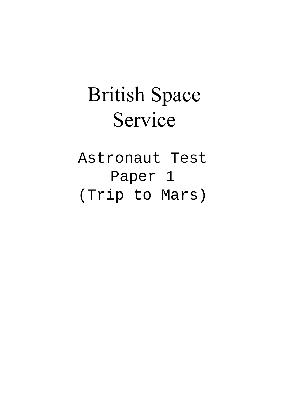## British Space Service

Astronaut Test Paper 1 (Trip to Mars)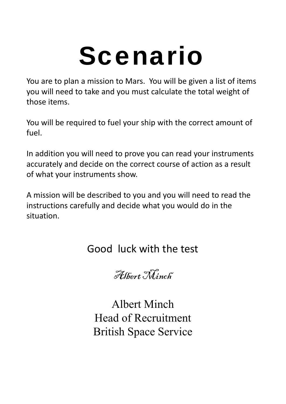## Scenario

You are to plan a mission to Mars. You will be given a list of items you will need to take and you must calculate the total weight of those items.

You will be required to fuel your ship with the correct amount of fuel.

In addition you will need to prove you can read your instruments accurately and decide on the correct course of action as a result of what your instruments show.

A mission will be described to you and you will need to read the instructions carefully and decide what you would do in the situation.

## Good luck with the test

Albert Ninch

Albert Minch Head of Recruitment British Space Service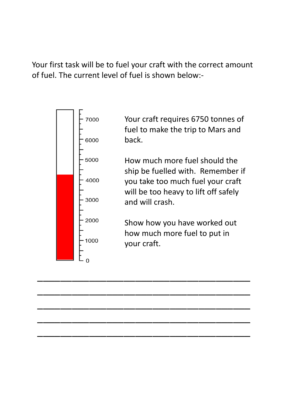Your first task will be to fuel your craft with the correct amount of fuel. The current level of fuel is shown below:‐



\_\_\_\_\_\_\_\_\_\_\_\_\_\_\_\_\_\_\_\_\_\_\_\_\_\_\_\_\_\_\_\_\_\_\_\_\_

\_\_\_\_\_\_\_\_\_\_\_\_\_\_\_\_\_\_\_\_\_\_\_\_\_\_\_\_\_\_\_\_\_\_\_\_\_

\_\_\_\_\_\_\_\_\_\_\_\_\_\_\_\_\_\_\_\_\_\_\_\_\_\_\_\_\_\_\_\_\_\_\_\_\_

\_\_\_\_\_\_\_\_\_\_\_\_\_\_\_\_\_\_\_\_\_\_\_\_\_\_\_\_\_\_\_\_\_\_\_\_\_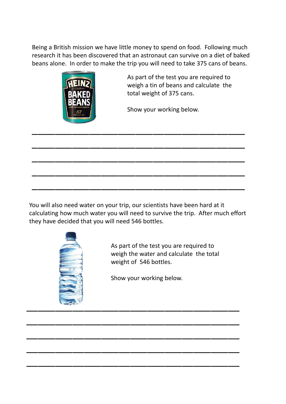Being a British mission we have little money to spend on food. Following much research it has been discovered that an astronaut can survive on a diet of baked beans alone. In order to make the trip you will need to take 375 cans of beans.



As part of the test you are required to weigh a tin of beans and calculate the total weight of 375 cans.

Show your working below.

You will also need water on your trip, our scientists have been hard at it calculating how much water you will need to survive the trip. After much effort they have decided that you will need 546 bottles.

\_\_\_\_\_\_\_\_\_\_\_\_\_\_\_\_\_\_\_\_\_\_\_\_\_\_\_\_\_\_\_\_\_\_\_\_\_

\_\_\_\_\_\_\_\_\_\_\_\_\_\_\_\_\_\_\_\_\_\_\_\_\_\_\_\_\_\_\_\_\_\_\_\_\_

\_\_\_\_\_\_\_\_\_\_\_\_\_\_\_\_\_\_\_\_\_\_\_\_\_\_\_\_\_\_\_\_\_\_\_\_\_

\_\_\_\_\_\_\_\_\_\_\_\_\_\_\_\_\_\_\_\_\_\_\_\_\_\_\_\_\_\_\_\_\_\_\_\_\_



As part of the test you are required to weigh the water and calculate the total weight of 546 bottles.

Show your working below.

\_\_\_\_\_\_\_\_\_\_\_\_\_\_\_\_\_\_\_\_\_\_\_\_\_\_\_\_\_\_\_\_\_\_\_\_\_

\_\_\_\_\_\_\_\_\_\_\_\_\_\_\_\_\_\_\_\_\_\_\_\_\_\_\_\_\_\_\_\_\_\_\_\_\_

\_\_\_\_\_\_\_\_\_\_\_\_\_\_\_\_\_\_\_\_\_\_\_\_\_\_\_\_\_\_\_\_\_\_\_\_\_

\_\_\_\_\_\_\_\_\_\_\_\_\_\_\_\_\_\_\_\_\_\_\_\_\_\_\_\_\_\_\_\_\_\_\_\_\_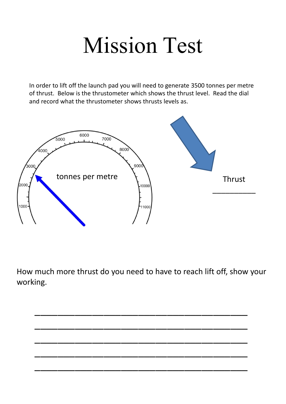## Mission Test

In order to lift off the launch pad you will need to generate 3500 tonnes per metre of thrust. Below is the thrustometer which shows the thrust level. Read the dial and record what the thrustometer shows thrusts levels as.



How much more thrust do you need to have to reach lift off, show your working.

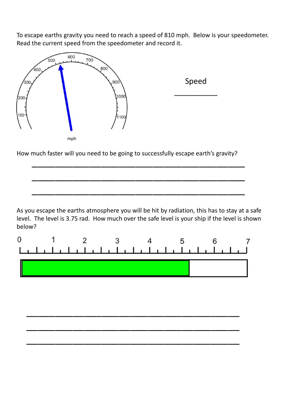To escape earths gravity you need to reach a speed of 810 mph. Below is your speedometer. Read the current speed from the speedometer and record it.



Speed

\_\_\_\_\_\_\_\_\_\_

How much faster will you need to be going to successfully escape earth's gravity?

As you escape the earths atmosphere you will be hit by radiation, this has to stay at a safe level. The level is 3.75 rad. How much over the safe level is your ship if the level is shown below?

\_\_\_\_\_\_\_\_\_\_\_\_\_\_\_\_\_\_\_\_\_\_\_\_\_\_\_\_\_\_\_\_\_\_\_\_\_

\_\_\_\_\_\_\_\_\_\_\_\_\_\_\_\_\_\_\_\_\_\_\_\_\_\_\_\_\_\_\_\_\_\_\_\_\_

\_\_\_\_\_\_\_\_\_\_\_\_\_\_\_\_\_\_\_\_\_\_\_\_\_\_\_\_\_\_\_\_\_\_\_\_\_



\_\_\_\_\_\_\_\_\_\_\_\_\_\_\_\_\_\_\_\_\_\_\_\_\_\_\_\_\_\_\_\_\_\_\_\_\_

\_\_\_\_\_\_\_\_\_\_\_\_\_\_\_\_\_\_\_\_\_\_\_\_\_\_\_\_\_\_\_\_\_\_\_\_\_

\_\_\_\_\_\_\_\_\_\_\_\_\_\_\_\_\_\_\_\_\_\_\_\_\_\_\_\_\_\_\_\_\_\_\_\_\_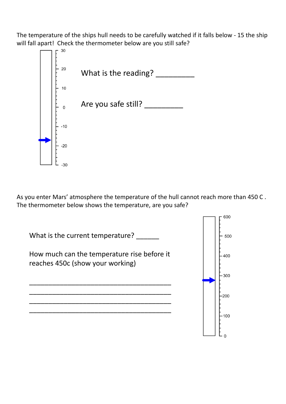The temperature of the ships hull needs to be carefully watched if it falls below ‐ 15 the ship will fall apart! Check the thermometer below are you still safe?



As you enter Mars' atmosphere the temperature of the hull cannot reach more than 450 C . The thermometer below shows the temperature, are you safe?